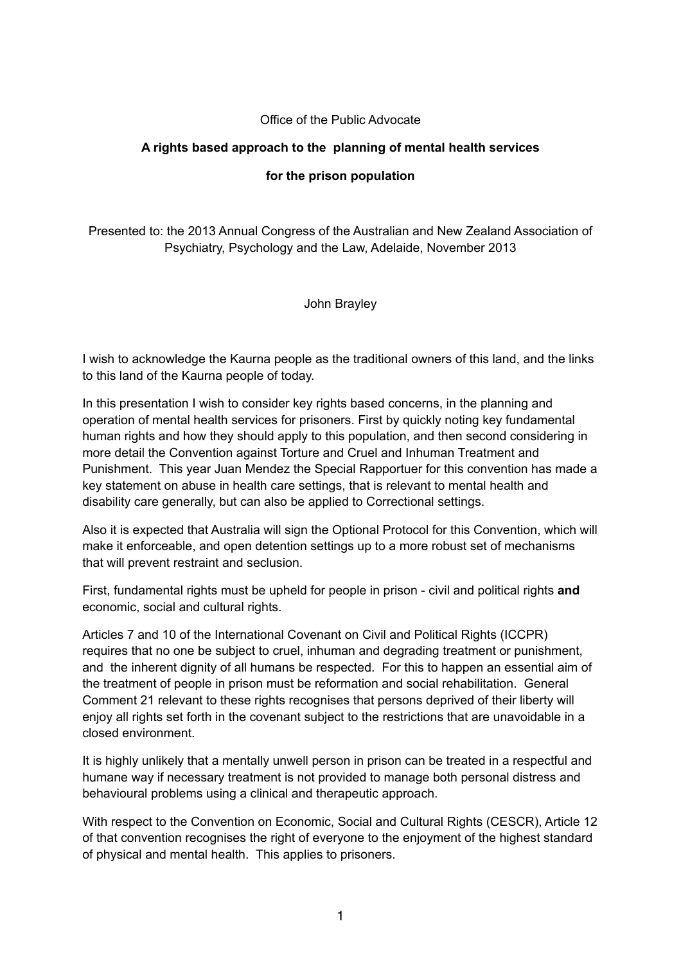#### Office of the Public Advocate

#### **A rights based approach to the planning of mental health services**

### **for the prison population**

Presented to: the 2013 Annual Congress of the Australian and New Zealand Association of Psychiatry, Psychology and the Law, Adelaide, November 2013

John Brayley

I wish to acknowledge the Kaurna people as the traditional owners of this land, and the links to this land of the Kaurna people of today.

In this presentation I wish to consider key rights based concerns, in the planning and operation of mental health services for prisoners. First by quickly noting key fundamental human rights and how they should apply to this population, and then second considering in more detail the Convention against Torture and Cruel and Inhuman Treatment and Punishment. This year Juan Mendez the Special Rapportuer for this convention has made a key statement on abuse in health care settings, that is relevant to mental health and disability care generally, but can also be applied to Correctional settings.

Also it is expected that Australia will sign the Optional Protocol for this Convention, which will make it enforceable, and open detention settings up to a more robust set of mechanisms that will prevent restraint and seclusion.

First, fundamental rights must be upheld for people in prison - civil and political rights **and** economic, social and cultural rights.

Articles 7 and 10 of the International Covenant on Civil and Political Rights (ICCPR) requires that no one be subject to cruel, inhuman and degrading treatment or punishment, and the inherent dignity of all humans be respected. For this to happen an essential aim of the treatment of people in prison must be reformation and social rehabilitation. General Comment 21 relevant to these rights recognises that persons deprived of their liberty will enjoy all rights set forth in the covenant subject to the restrictions that are unavoidable in a closed environment.

It is highly unlikely that a mentally unwell person in prison can be treated in a respectful and humane way if necessary treatment is not provided to manage both personal distress and behavioural problems using a clinical and therapeutic approach.

With respect to the Convention on Economic, Social and Cultural Rights (CESCR), Article 12 of that convention recognises the right of everyone to the enjoyment of the highest standard of physical and mental health. This applies to prisoners.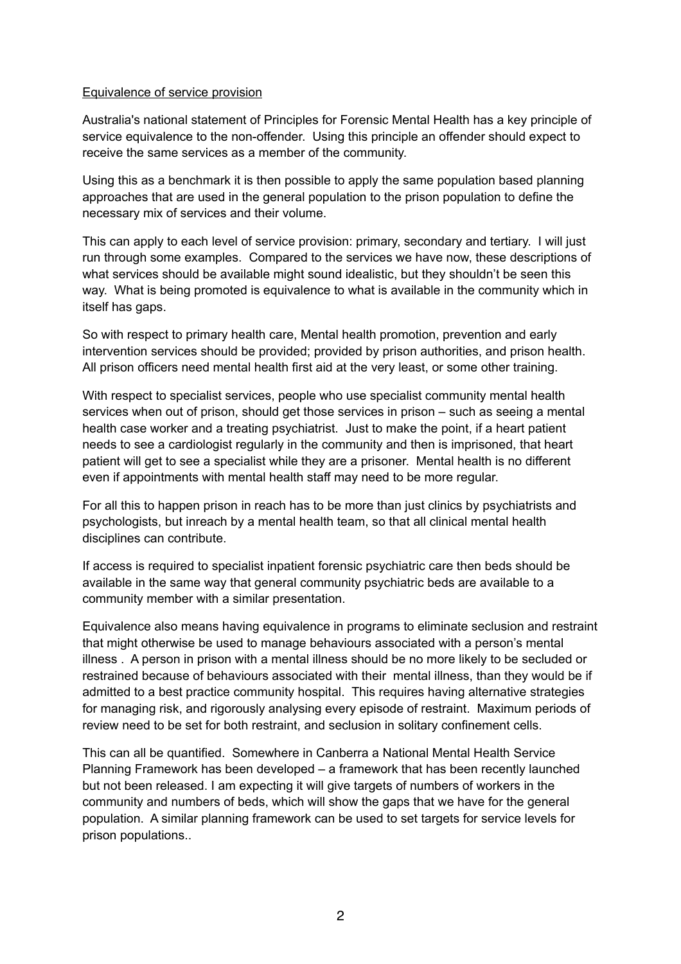#### Equivalence of service provision

Australia's national statement of Principles for Forensic Mental Health has a key principle of service equivalence to the non-offender. Using this principle an offender should expect to receive the same services as a member of the community.

Using this as a benchmark it is then possible to apply the same population based planning approaches that are used in the general population to the prison population to define the necessary mix of services and their volume.

This can apply to each level of service provision: primary, secondary and tertiary. I will just run through some examples. Compared to the services we have now, these descriptions of what services should be available might sound idealistic, but they shouldn't be seen this way. What is being promoted is equivalence to what is available in the community which in itself has gaps.

So with respect to primary health care, Mental health promotion, prevention and early intervention services should be provided; provided by prison authorities, and prison health. All prison officers need mental health first aid at the very least, or some other training.

With respect to specialist services, people who use specialist community mental health services when out of prison, should get those services in prison – such as seeing a mental health case worker and a treating psychiatrist. Just to make the point, if a heart patient needs to see a cardiologist regularly in the community and then is imprisoned, that heart patient will get to see a specialist while they are a prisoner. Mental health is no different even if appointments with mental health staff may need to be more regular.

For all this to happen prison in reach has to be more than just clinics by psychiatrists and psychologists, but inreach by a mental health team, so that all clinical mental health disciplines can contribute.

If access is required to specialist inpatient forensic psychiatric care then beds should be available in the same way that general community psychiatric beds are available to a community member with a similar presentation.

Equivalence also means having equivalence in programs to eliminate seclusion and restraint that might otherwise be used to manage behaviours associated with a person's mental illness . A person in prison with a mental illness should be no more likely to be secluded or restrained because of behaviours associated with their mental illness, than they would be if admitted to a best practice community hospital. This requires having alternative strategies for managing risk, and rigorously analysing every episode of restraint. Maximum periods of review need to be set for both restraint, and seclusion in solitary confinement cells.

This can all be quantified. Somewhere in Canberra a National Mental Health Service Planning Framework has been developed – a framework that has been recently launched but not been released. I am expecting it will give targets of numbers of workers in the community and numbers of beds, which will show the gaps that we have for the general population. A similar planning framework can be used to set targets for service levels for prison populations..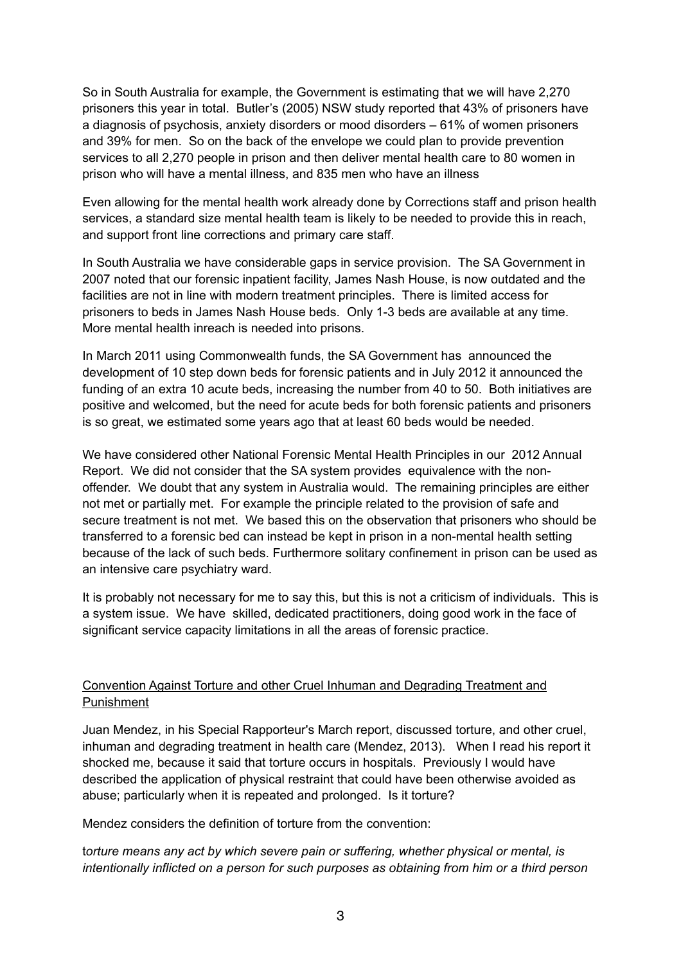So in South Australia for example, the Government is estimating that we will have 2,270 prisoners this year in total. Butler's (2005) NSW study reported that 43% of prisoners have a diagnosis of psychosis, anxiety disorders or mood disorders – 61% of women prisoners and 39% for men. So on the back of the envelope we could plan to provide prevention services to all 2,270 people in prison and then deliver mental health care to 80 women in prison who will have a mental illness, and 835 men who have an illness

Even allowing for the mental health work already done by Corrections staff and prison health services, a standard size mental health team is likely to be needed to provide this in reach, and support front line corrections and primary care staff.

In South Australia we have considerable gaps in service provision. The SA Government in 2007 noted that our forensic inpatient facility, James Nash House, is now outdated and the facilities are not in line with modern treatment principles. There is limited access for prisoners to beds in James Nash House beds. Only 1-3 beds are available at any time. More mental health inreach is needed into prisons.

In March 2011 using Commonwealth funds, the SA Government has announced the development of 10 step down beds for forensic patients and in July 2012 it announced the funding of an extra 10 acute beds, increasing the number from 40 to 50. Both initiatives are positive and welcomed, but the need for acute beds for both forensic patients and prisoners is so great, we estimated some years ago that at least 60 beds would be needed.

We have considered other National Forensic Mental Health Principles in our 2012 Annual Report. We did not consider that the SA system provides equivalence with the nonoffender. We doubt that any system in Australia would. The remaining principles are either not met or partially met. For example the principle related to the provision of safe and secure treatment is not met. We based this on the observation that prisoners who should be transferred to a forensic bed can instead be kept in prison in a non-mental health setting because of the lack of such beds. Furthermore solitary confinement in prison can be used as an intensive care psychiatry ward.

It is probably not necessary for me to say this, but this is not a criticism of individuals. This is a system issue. We have skilled, dedicated practitioners, doing good work in the face of significant service capacity limitations in all the areas of forensic practice.

# Convention Against Torture and other Cruel Inhuman and Degrading Treatment and Punishment

Juan Mendez, in his Special Rapporteur's March report, discussed torture, and other cruel, inhuman and degrading treatment in health care (Mendez, 2013). When I read his report it shocked me, because it said that torture occurs in hospitals. Previously I would have described the application of physical restraint that could have been otherwise avoided as abuse; particularly when it is repeated and prolonged. Is it torture?

Mendez considers the definition of torture from the convention:

t*orture means any act by which severe pain or suffering, whether physical or mental, is intentionally inflicted on a person for such purposes as obtaining from him or a third person*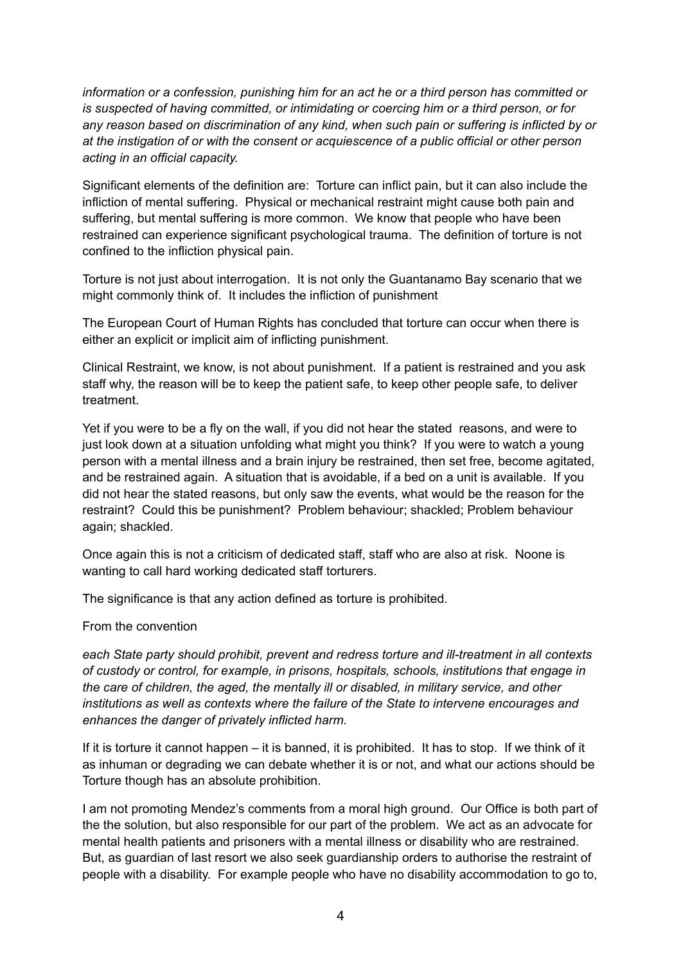*information or a confession, punishing him for an act he or a third person has committed or is suspected of having committed, or intimidating or coercing him or a third person, or for any reason based on discrimination of any kind, when such pain or suffering is inflicted by or at the instigation of or with the consent or acquiescence of a public official or other person acting in an official capacity.*

Significant elements of the definition are: Torture can inflict pain, but it can also include the infliction of mental suffering. Physical or mechanical restraint might cause both pain and suffering, but mental suffering is more common. We know that people who have been restrained can experience significant psychological trauma. The definition of torture is not confined to the infliction physical pain.

Torture is not just about interrogation. It is not only the Guantanamo Bay scenario that we might commonly think of. It includes the infliction of punishment

The European Court of Human Rights has concluded that torture can occur when there is either an explicit or implicit aim of inflicting punishment.

Clinical Restraint, we know, is not about punishment. If a patient is restrained and you ask staff why, the reason will be to keep the patient safe, to keep other people safe, to deliver treatment.

Yet if you were to be a fly on the wall, if you did not hear the stated reasons, and were to just look down at a situation unfolding what might you think? If you were to watch a young person with a mental illness and a brain injury be restrained, then set free, become agitated, and be restrained again. A situation that is avoidable, if a bed on a unit is available. If you did not hear the stated reasons, but only saw the events, what would be the reason for the restraint? Could this be punishment? Problem behaviour; shackled; Problem behaviour again; shackled.

Once again this is not a criticism of dedicated staff, staff who are also at risk. Noone is wanting to call hard working dedicated staff torturers.

The significance is that any action defined as torture is prohibited.

From the convention

*each State party should prohibit, prevent and redress torture and ill-treatment in all contexts of custody or control, for example, in prisons, hospitals, schools, institutions that engage in the care of children, the aged, the mentally ill or disabled, in military service, and other institutions as well as contexts where the failure of the State to intervene encourages and enhances the danger of privately inflicted harm.*

If it is torture it cannot happen – it is banned, it is prohibited. It has to stop. If we think of it as inhuman or degrading we can debate whether it is or not, and what our actions should be Torture though has an absolute prohibition.

I am not promoting Mendez's comments from a moral high ground. Our Office is both part of the the solution, but also responsible for our part of the problem. We act as an advocate for mental health patients and prisoners with a mental illness or disability who are restrained. But, as guardian of last resort we also seek guardianship orders to authorise the restraint of people with a disability. For example people who have no disability accommodation to go to,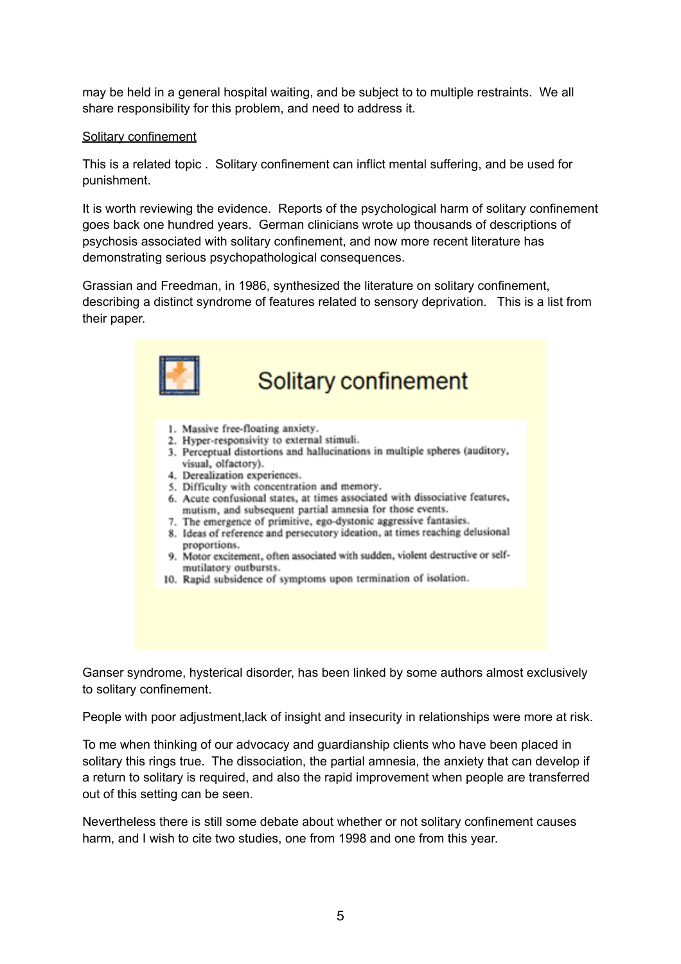may be held in a general hospital waiting, and be subject to to multiple restraints. We all share responsibility for this problem, and need to address it.

#### Solitary confinement

This is a related topic . Solitary confinement can inflict mental suffering, and be used for punishment.

It is worth reviewing the evidence. Reports of the psychological harm of solitary confinement goes back one hundred years. German clinicians wrote up thousands of descriptions of psychosis associated with solitary confinement, and now more recent literature has demonstrating serious psychopathological consequences.

Grassian and Freedman, in 1986, synthesized the literature on solitary confinement, describing a distinct syndrome of features related to sensory deprivation. This is a list from their paper.



Ganser syndrome, hysterical disorder, has been linked by some authors almost exclusively to solitary confinement.

People with poor adjustment,lack of insight and insecurity in relationships were more at risk.

To me when thinking of our advocacy and guardianship clients who have been placed in solitary this rings true. The dissociation, the partial amnesia, the anxiety that can develop if a return to solitary is required, and also the rapid improvement when people are transferred out of this setting can be seen.

Nevertheless there is still some debate about whether or not solitary confinement causes harm, and I wish to cite two studies, one from 1998 and one from this year.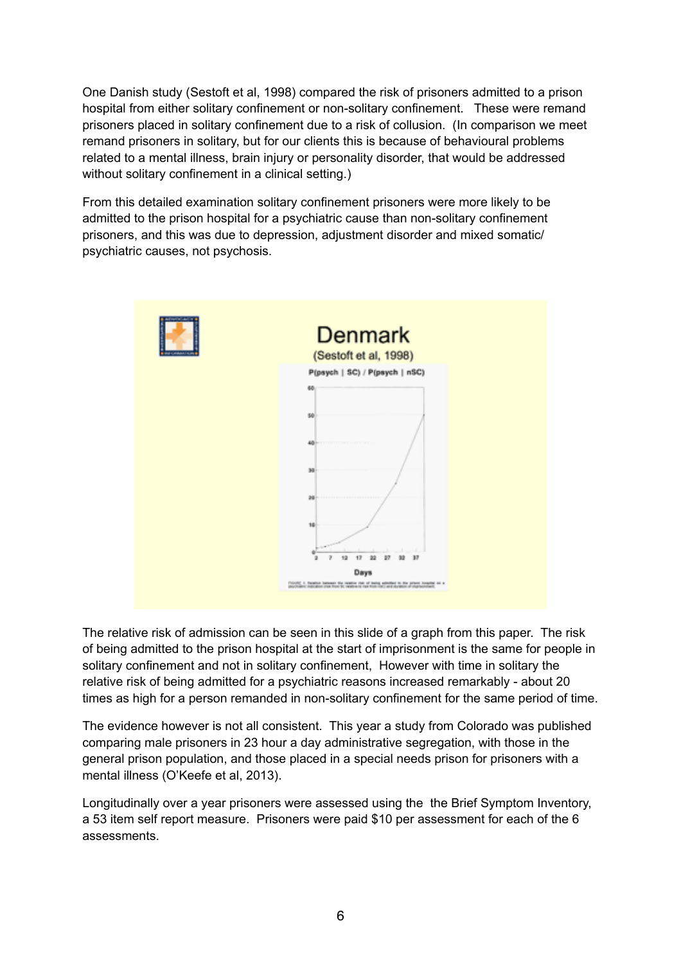One Danish study (Sestoft et al, 1998) compared the risk of prisoners admitted to a prison hospital from either solitary confinement or non-solitary confinement. These were remand prisoners placed in solitary confinement due to a risk of collusion. (In comparison we meet remand prisoners in solitary, but for our clients this is because of behavioural problems related to a mental illness, brain injury or personality disorder, that would be addressed without solitary confinement in a clinical setting.)

From this detailed examination solitary confinement prisoners were more likely to be admitted to the prison hospital for a psychiatric cause than non-solitary confinement prisoners, and this was due to depression, adjustment disorder and mixed somatic/ psychiatric causes, not psychosis.



The relative risk of admission can be seen in this slide of a graph from this paper. The risk of being admitted to the prison hospital at the start of imprisonment is the same for people in solitary confinement and not in solitary confinement, However with time in solitary the relative risk of being admitted for a psychiatric reasons increased remarkably - about 20 times as high for a person remanded in non-solitary confinement for the same period of time.

The evidence however is not all consistent. This year a study from Colorado was published comparing male prisoners in 23 hour a day administrative segregation, with those in the general prison population, and those placed in a special needs prison for prisoners with a mental illness (O'Keefe et al, 2013).

Longitudinally over a year prisoners were assessed using the the Brief Symptom Inventory, a 53 item self report measure. Prisoners were paid \$10 per assessment for each of the 6 assessments.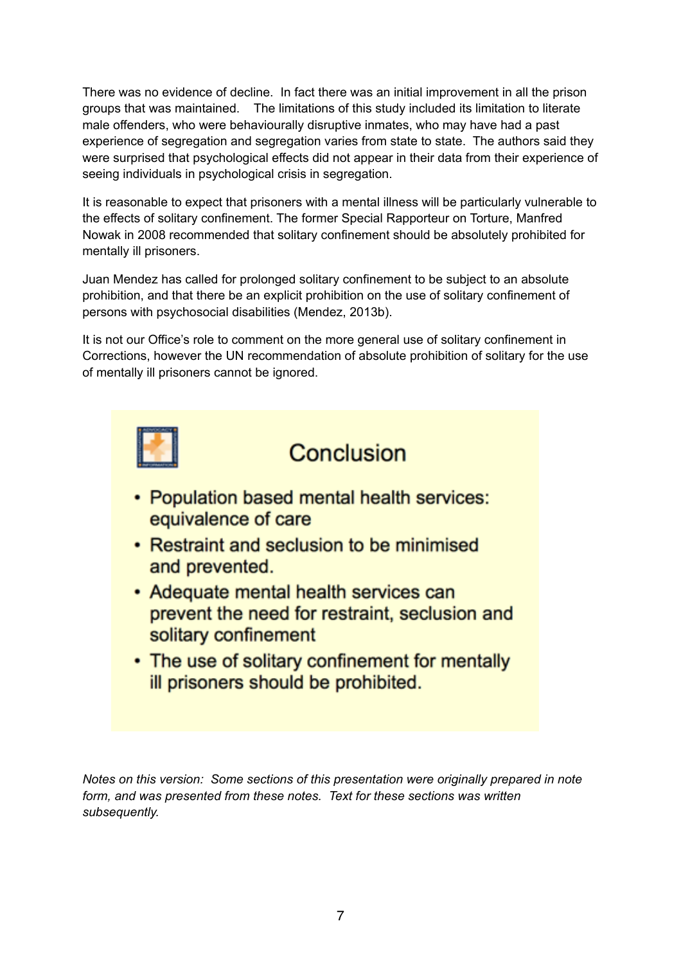There was no evidence of decline. In fact there was an initial improvement in all the prison groups that was maintained. The limitations of this study included its limitation to literate male offenders, who were behaviourally disruptive inmates, who may have had a past experience of segregation and segregation varies from state to state. The authors said they were surprised that psychological effects did not appear in their data from their experience of seeing individuals in psychological crisis in segregation.

It is reasonable to expect that prisoners with a mental illness will be particularly vulnerable to the effects of solitary confinement. The former Special Rapporteur on Torture, Manfred Nowak in 2008 recommended that solitary confinement should be absolutely prohibited for mentally ill prisoners.

Juan Mendez has called for prolonged solitary confinement to be subject to an absolute prohibition, and that there be an explicit prohibition on the use of solitary confinement of persons with psychosocial disabilities (Mendez, 2013b).

It is not our Office's role to comment on the more general use of solitary confinement in Corrections, however the UN recommendation of absolute prohibition of solitary for the use of mentally ill prisoners cannot be ignored.



*Notes on this version: Some sections of this presentation were originally prepared in note form, and was presented from these notes. Text for these sections was written subsequently.*